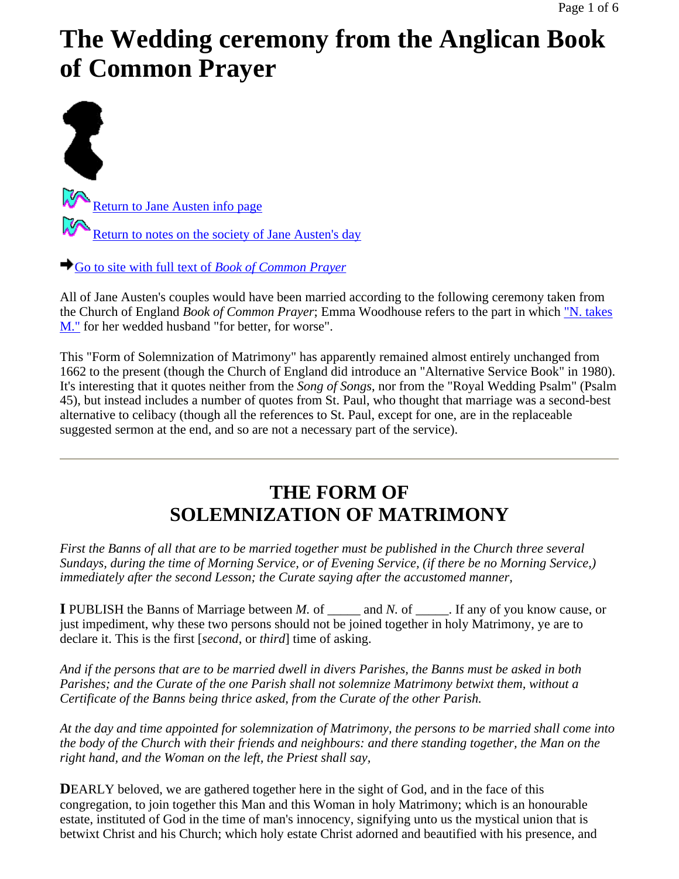# **The Wedding ceremony from the Anglican Book of Common Prayer**

T Return to Jane Austen info page Return to notes on the society of Jane Austen's day

Go to site with full text of *Book of Common Prayer*

All of Jane Austen's couples would have been married according to the following ceremony taken from the Church of England *Book of Common Prayer*; Emma Woodhouse refers to the part in which "N. takes M." for her wedded husband "for better, for worse".

This "Form of Solemnization of Matrimony" has apparently remained almost entirely unchanged from 1662 to the present (though the Church of England did introduce an "Alternative Service Book" in 1980). It's interesting that it quotes neither from the *Song of Songs*, nor from the "Royal Wedding Psalm" (Psalm 45), but instead includes a number of quotes from St. Paul, who thought that marriage was a second-best alternative to celibacy (though all the references to St. Paul, except for one, are in the replaceable suggested sermon at the end, and so are not a necessary part of the service).

# **THE FORM OF SOLEMNIZATION OF MATRIMONY**

*First the Banns of all that are to be married together must be published in the Church three several Sundays, during the time of Morning Service, or of Evening Service, (if there be no Morning Service,) immediately after the second Lesson; the Curate saying after the accustomed manner,*

**I** PUBLISH the Banns of Marriage between *M.* of \_\_\_\_\_ and *N.* of \_\_\_\_\_. If any of you know cause, or just impediment, why these two persons should not be joined together in holy Matrimony, ye are to declare it. This is the first [*second*, or *third*] time of asking.

*And if the persons that are to be married dwell in divers Parishes, the Banns must be asked in both Parishes; and the Curate of the one Parish shall not solemnize Matrimony betwixt them, without a Certificate of the Banns being thrice asked, from the Curate of the other Parish.*

*At the day and time appointed for solemnization of Matrimony, the persons to be married shall come into the body of the Church with their friends and neighbours: and there standing together, the Man on the right hand, and the Woman on the left, the Priest shall say,*

**DEARLY** beloved, we are gathered together here in the sight of God, and in the face of this congregation, to join together this Man and this Woman in holy Matrimony; which is an honourable estate, instituted of God in the time of man's innocency, signifying unto us the mystical union that is betwixt Christ and his Church; which holy estate Christ adorned and beautified with his presence, and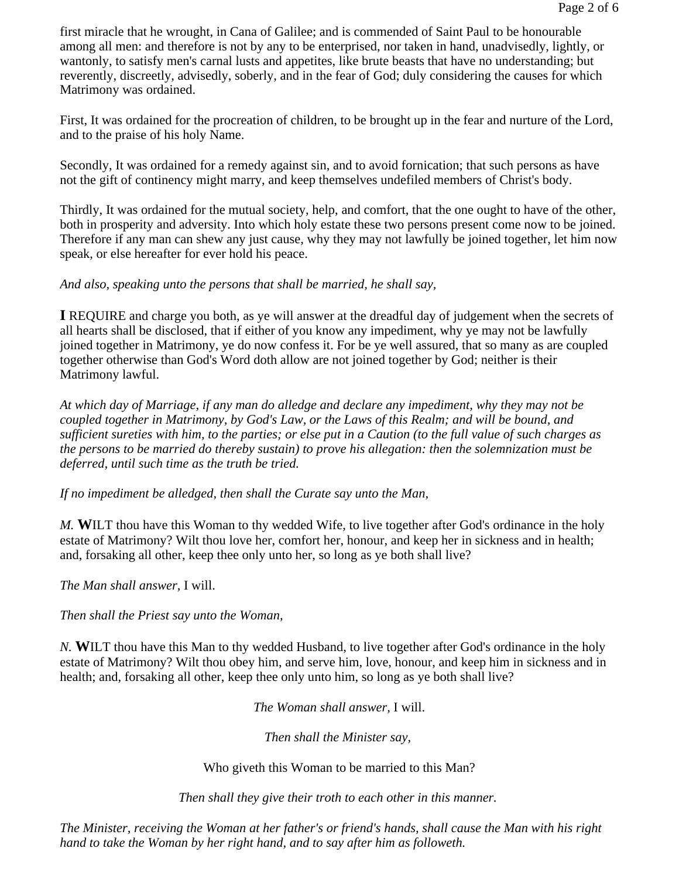first miracle that he wrought, in Cana of Galilee; and is commended of Saint Paul to be honourable among all men: and therefore is not by any to be enterprised, nor taken in hand, unadvisedly, lightly, or wantonly, to satisfy men's carnal lusts and appetites, like brute beasts that have no understanding; but reverently, discreetly, advisedly, soberly, and in the fear of God; duly considering the causes for which Matrimony was ordained.

First, It was ordained for the procreation of children, to be brought up in the fear and nurture of the Lord, and to the praise of his holy Name.

Secondly, It was ordained for a remedy against sin, and to avoid fornication; that such persons as have not the gift of continency might marry, and keep themselves undefiled members of Christ's body.

Thirdly, It was ordained for the mutual society, help, and comfort, that the one ought to have of the other, both in prosperity and adversity. Into which holy estate these two persons present come now to be joined. Therefore if any man can shew any just cause, why they may not lawfully be joined together, let him now speak, or else hereafter for ever hold his peace.

#### *And also, speaking unto the persons that shall be married, he shall say,*

**I** REQUIRE and charge you both, as ye will answer at the dreadful day of judgement when the secrets of all hearts shall be disclosed, that if either of you know any impediment, why ye may not be lawfully joined together in Matrimony, ye do now confess it. For be ye well assured, that so many as are coupled together otherwise than God's Word doth allow are not joined together by God; neither is their Matrimony lawful.

*At which day of Marriage, if any man do alledge and declare any impediment, why they may not be coupled together in Matrimony, by God's Law, or the Laws of this Realm; and will be bound, and sufficient sureties with him, to the parties; or else put in a Caution (to the full value of such charges as the persons to be married do thereby sustain) to prove his allegation: then the solemnization must be deferred, until such time as the truth be tried.*

*If no impediment be alledged, then shall the Curate say unto the Man,*

*M.* **W**ILT thou have this Woman to thy wedded Wife, to live together after God's ordinance in the holy estate of Matrimony? Wilt thou love her, comfort her, honour, and keep her in sickness and in health; and, forsaking all other, keep thee only unto her, so long as ye both shall live?

*The Man shall answer,* I will.

*Then shall the Priest say unto the Woman,*

*N.* **W**ILT thou have this Man to thy wedded Husband, to live together after God's ordinance in the holy estate of Matrimony? Wilt thou obey him, and serve him, love, honour, and keep him in sickness and in health; and, forsaking all other, keep thee only unto him, so long as ye both shall live?

*The Woman shall answer,* I will.

*Then shall the Minister say,*

Who giveth this Woman to be married to this Man?

*Then shall they give their troth to each other in this manner.*

*The Minister, receiving the Woman at her father's or friend's hands, shall cause the Man with his right hand to take the Woman by her right hand, and to say after him as followeth.*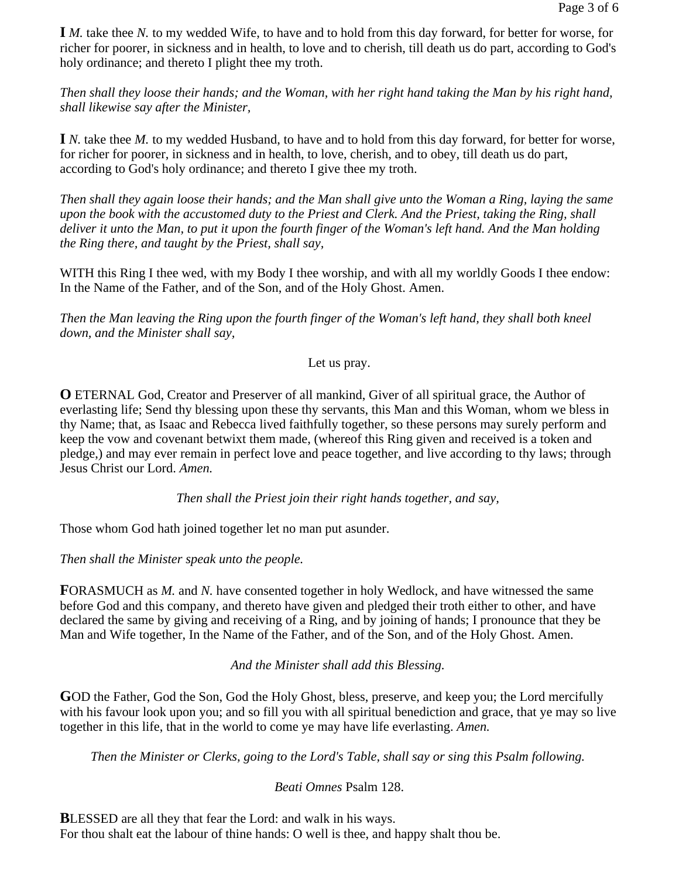**I** *M.* take thee *N.* to my wedded Wife, to have and to hold from this day forward, for better for worse, for richer for poorer, in sickness and in health, to love and to cherish, till death us do part, according to God's holy ordinance; and thereto I plight thee my troth.

*Then shall they loose their hands; and the Woman, with her right hand taking the Man by his right hand, shall likewise say after the Minister,*

**I** *N.* take thee *M.* to my wedded Husband, to have and to hold from this day forward, for better for worse, for richer for poorer, in sickness and in health, to love, cherish, and to obey, till death us do part, according to God's holy ordinance; and thereto I give thee my troth.

*Then shall they again loose their hands; and the Man shall give unto the Woman a Ring, laying the same upon the book with the accustomed duty to the Priest and Clerk. And the Priest, taking the Ring, shall deliver it unto the Man, to put it upon the fourth finger of the Woman's left hand. And the Man holding the Ring there, and taught by the Priest, shall say,*

WITH this Ring I thee wed, with my Body I thee worship, and with all my worldly Goods I thee endow: In the Name of the Father, and of the Son, and of the Holy Ghost. Amen.

*Then the Man leaving the Ring upon the fourth finger of the Woman's left hand, they shall both kneel down, and the Minister shall say,*

Let us pray.

**O** ETERNAL God, Creator and Preserver of all mankind, Giver of all spiritual grace, the Author of everlasting life; Send thy blessing upon these thy servants, this Man and this Woman, whom we bless in thy Name; that, as Isaac and Rebecca lived faithfully together, so these persons may surely perform and keep the vow and covenant betwixt them made, (whereof this Ring given and received is a token and pledge,) and may ever remain in perfect love and peace together, and live according to thy laws; through Jesus Christ our Lord. *Amen.*

*Then shall the Priest join their right hands together, and say,*

Those whom God hath joined together let no man put asunder.

*Then shall the Minister speak unto the people.*

**F**ORASMUCH as *M.* and *N.* have consented together in holy Wedlock, and have witnessed the same before God and this company, and thereto have given and pledged their troth either to other, and have declared the same by giving and receiving of a Ring, and by joining of hands; I pronounce that they be Man and Wife together, In the Name of the Father, and of the Son, and of the Holy Ghost. Amen.

*And the Minister shall add this Blessing.*

**G**OD the Father, God the Son, God the Holy Ghost, bless, preserve, and keep you; the Lord mercifully with his favour look upon you; and so fill you with all spiritual benediction and grace, that ye may so live together in this life, that in the world to come ye may have life everlasting. *Amen.*

*Then the Minister or Clerks, going to the Lord's Table, shall say or sing this Psalm following.*

# *Beati Omnes* Psalm 128.

**BLESSED** are all they that fear the Lord: and walk in his ways. For thou shalt eat the labour of thine hands: O well is thee, and happy shalt thou be.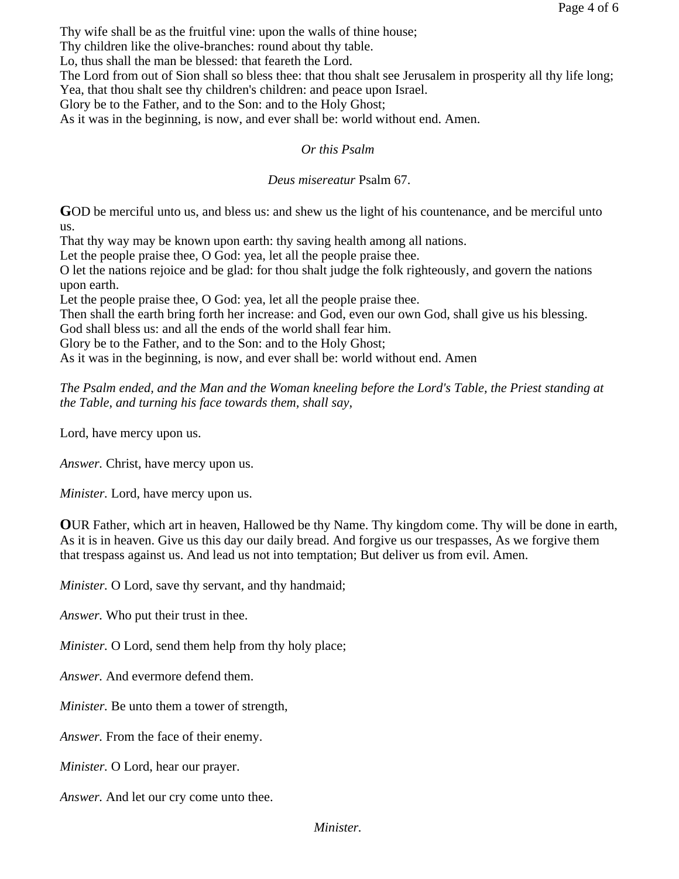Thy wife shall be as the fruitful vine: upon the walls of thine house;

Thy children like the olive-branches: round about thy table.

Lo, thus shall the man be blessed: that feareth the Lord.

The Lord from out of Sion shall so bless thee: that thou shalt see Jerusalem in prosperity all thy life long; Yea, that thou shalt see thy children's children: and peace upon Israel.

Glory be to the Father, and to the Son: and to the Holy Ghost;

As it was in the beginning, is now, and ever shall be: world without end. Amen.

# *Or this Psalm*

# *Deus misereatur* Psalm 67.

**G**OD be merciful unto us, and bless us: and shew us the light of his countenance, and be merciful unto us.

That thy way may be known upon earth: thy saving health among all nations.

Let the people praise thee, O God: yea, let all the people praise thee.

O let the nations rejoice and be glad: for thou shalt judge the folk righteously, and govern the nations upon earth.

Let the people praise thee, O God: yea, let all the people praise thee.

Then shall the earth bring forth her increase: and God, even our own God, shall give us his blessing.

God shall bless us: and all the ends of the world shall fear him.

Glory be to the Father, and to the Son: and to the Holy Ghost;

As it was in the beginning, is now, and ever shall be: world without end. Amen

*The Psalm ended, and the Man and the Woman kneeling before the Lord's Table, the Priest standing at the Table, and turning his face towards them, shall say,*

Lord, have mercy upon us.

*Answer.* Christ, have mercy upon us.

*Minister.* Lord, have mercy upon us.

**O**UR Father, which art in heaven, Hallowed be thy Name. Thy kingdom come. Thy will be done in earth, As it is in heaven. Give us this day our daily bread. And forgive us our trespasses, As we forgive them that trespass against us. And lead us not into temptation; But deliver us from evil. Amen.

*Minister.* O Lord, save thy servant, and thy handmaid;

*Answer.* Who put their trust in thee.

*Minister.* O Lord, send them help from thy holy place;

*Answer.* And evermore defend them.

*Minister.* Be unto them a tower of strength,

*Answer.* From the face of their enemy.

*Minister.* O Lord, hear our prayer.

*Answer.* And let our cry come unto thee.

# *Minister.*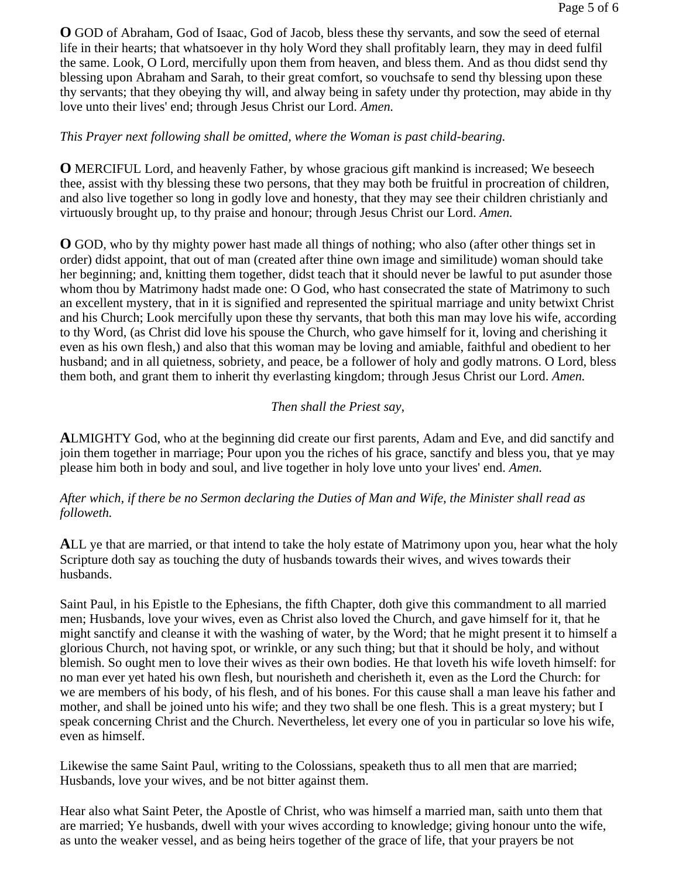**O** GOD of Abraham, God of Isaac, God of Jacob, bless these thy servants, and sow the seed of eternal life in their hearts; that whatsoever in thy holy Word they shall profitably learn, they may in deed fulfil the same. Look, O Lord, mercifully upon them from heaven, and bless them. And as thou didst send thy blessing upon Abraham and Sarah, to their great comfort, so vouchsafe to send thy blessing upon these thy servants; that they obeying thy will, and alway being in safety under thy protection, may abide in thy love unto their lives' end; through Jesus Christ our Lord. *Amen.*

#### *This Prayer next following shall be omitted, where the Woman is past child-bearing.*

**O** MERCIFUL Lord, and heavenly Father, by whose gracious gift mankind is increased; We beseech thee, assist with thy blessing these two persons, that they may both be fruitful in procreation of children, and also live together so long in godly love and honesty, that they may see their children christianly and virtuously brought up, to thy praise and honour; through Jesus Christ our Lord. *Amen.*

**O** GOD, who by thy mighty power hast made all things of nothing; who also (after other things set in order) didst appoint, that out of man (created after thine own image and similitude) woman should take her beginning; and, knitting them together, didst teach that it should never be lawful to put asunder those whom thou by Matrimony hadst made one: O God, who hast consecrated the state of Matrimony to such an excellent mystery, that in it is signified and represented the spiritual marriage and unity betwixt Christ and his Church; Look mercifully upon these thy servants, that both this man may love his wife, according to thy Word, (as Christ did love his spouse the Church, who gave himself for it, loving and cherishing it even as his own flesh,) and also that this woman may be loving and amiable, faithful and obedient to her husband; and in all quietness, sobriety, and peace, be a follower of holy and godly matrons. O Lord, bless them both, and grant them to inherit thy everlasting kingdom; through Jesus Christ our Lord. *Amen.*

# *Then shall the Priest say,*

**A**LMIGHTY God, who at the beginning did create our first parents, Adam and Eve, and did sanctify and join them together in marriage; Pour upon you the riches of his grace, sanctify and bless you, that ye may please him both in body and soul, and live together in holy love unto your lives' end. *Amen.*

# *After which, if there be no Sermon declaring the Duties of Man and Wife, the Minister shall read as followeth.*

**A**LL ye that are married, or that intend to take the holy estate of Matrimony upon you, hear what the holy Scripture doth say as touching the duty of husbands towards their wives, and wives towards their husbands.

Saint Paul, in his Epistle to the Ephesians, the fifth Chapter, doth give this commandment to all married men; Husbands, love your wives, even as Christ also loved the Church, and gave himself for it, that he might sanctify and cleanse it with the washing of water, by the Word; that he might present it to himself a glorious Church, not having spot, or wrinkle, or any such thing; but that it should be holy, and without blemish. So ought men to love their wives as their own bodies. He that loveth his wife loveth himself: for no man ever yet hated his own flesh, but nourisheth and cherisheth it, even as the Lord the Church: for we are members of his body, of his flesh, and of his bones. For this cause shall a man leave his father and mother, and shall be joined unto his wife; and they two shall be one flesh. This is a great mystery; but I speak concerning Christ and the Church. Nevertheless, let every one of you in particular so love his wife, even as himself.

Likewise the same Saint Paul, writing to the Colossians, speaketh thus to all men that are married; Husbands, love your wives, and be not bitter against them.

Hear also what Saint Peter, the Apostle of Christ, who was himself a married man, saith unto them that are married; Ye husbands, dwell with your wives according to knowledge; giving honour unto the wife, as unto the weaker vessel, and as being heirs together of the grace of life, that your prayers be not